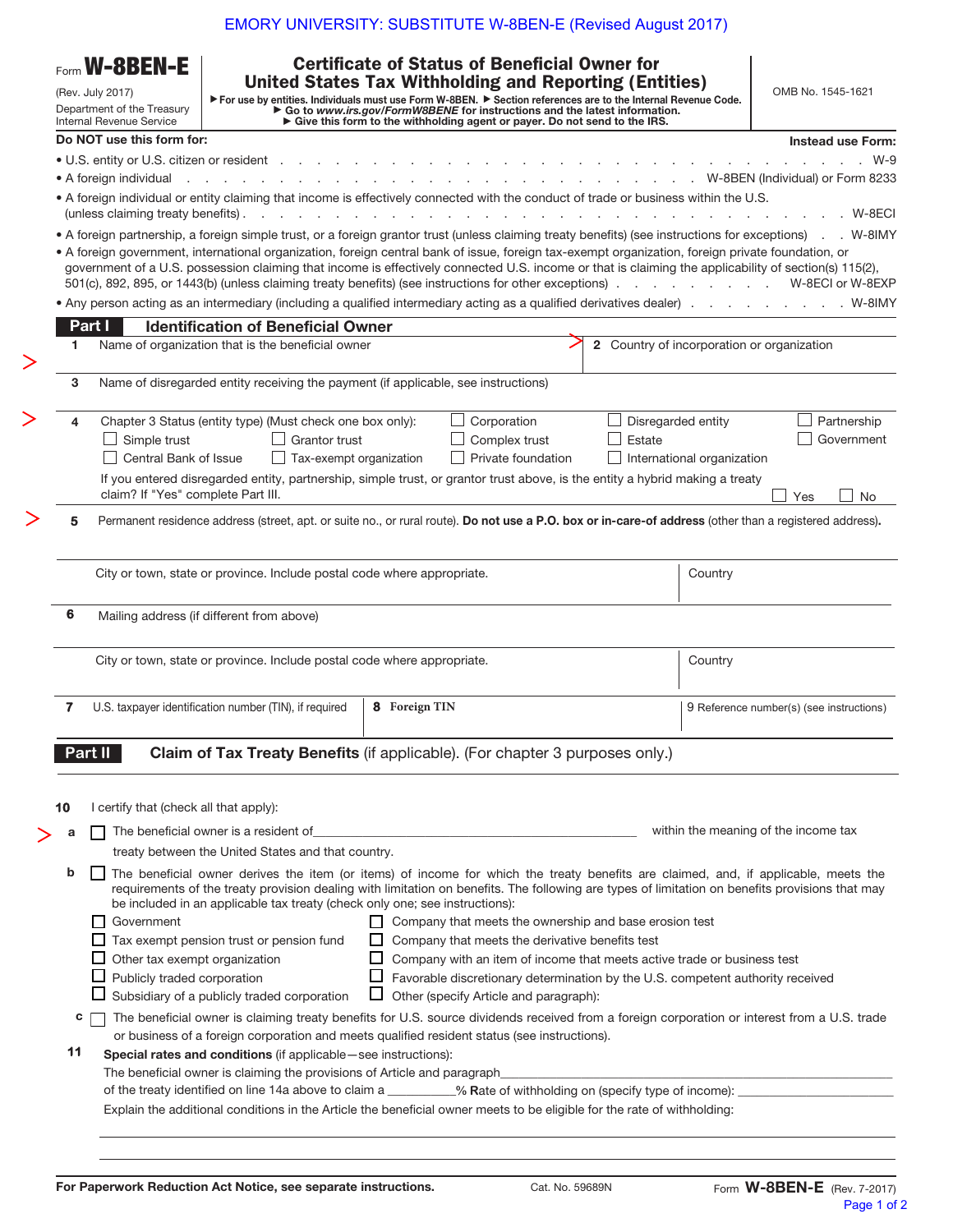| Form <b>W-8BEN-E</b><br>(Rev. July 2017)<br>Department of the Treasury<br>Internal Revenue Service |                                                                                                                                                                                               |                                                                                                                                                                                                                                                                                                                                                                                                                       | <b>Certificate of Status of Beneficial Owner for</b><br><b>United States Tax Withholding and Reporting (Entities)</b><br>For use by entities. Individuals must use Form W-8BEN. Cocion references are to the Internal Revenue Code.<br>Co to www.irs.gov/FormW8BENE for instructions and the latest information.<br>Give this form to the withholding agent or payer. Do not send to the IRS. |                                               |                                                 |         | OMB No. 1545-1621                        |  |
|----------------------------------------------------------------------------------------------------|-----------------------------------------------------------------------------------------------------------------------------------------------------------------------------------------------|-----------------------------------------------------------------------------------------------------------------------------------------------------------------------------------------------------------------------------------------------------------------------------------------------------------------------------------------------------------------------------------------------------------------------|-----------------------------------------------------------------------------------------------------------------------------------------------------------------------------------------------------------------------------------------------------------------------------------------------------------------------------------------------------------------------------------------------|-----------------------------------------------|-------------------------------------------------|---------|------------------------------------------|--|
|                                                                                                    | Do NOT use this form for:                                                                                                                                                                     |                                                                                                                                                                                                                                                                                                                                                                                                                       |                                                                                                                                                                                                                                                                                                                                                                                               |                                               |                                                 |         | <b>Instead use Form:</b>                 |  |
|                                                                                                    | • U.S. entity or U.S. citizen or resident                                                                                                                                                     |                                                                                                                                                                                                                                                                                                                                                                                                                       |                                                                                                                                                                                                                                                                                                                                                                                               |                                               |                                                 |         | $W-9$                                    |  |
|                                                                                                    | • A foreign individual                                                                                                                                                                        |                                                                                                                                                                                                                                                                                                                                                                                                                       |                                                                                                                                                                                                                                                                                                                                                                                               |                                               |                                                 |         | W-8BEN (Individual) or Form 8233         |  |
|                                                                                                    | (unless claiming treaty benefits).                                                                                                                                                            | • A foreign individual or entity claiming that income is effectively connected with the conduct of trade or business within the U.S.<br>$\sim$ $\sim$<br>$\sim$ $\sim$ $\sim$                                                                                                                                                                                                                                         |                                                                                                                                                                                                                                                                                                                                                                                               |                                               |                                                 |         | W-8ECI                                   |  |
|                                                                                                    |                                                                                                                                                                                               | • A foreign partnership, a foreign simple trust, or a foreign grantor trust (unless claiming treaty benefits) (see instructions for exceptions) . W-8IMY                                                                                                                                                                                                                                                              |                                                                                                                                                                                                                                                                                                                                                                                               |                                               |                                                 |         |                                          |  |
|                                                                                                    |                                                                                                                                                                                               | • A foreign government, international organization, foreign central bank of issue, foreign tax-exempt organization, foreign private foundation, or<br>government of a U.S. possession claiming that income is effectively connected U.S. income or that is claiming the applicability of section(s) 115(2),<br>501(c), 892, 895, or 1443(b) (unless claiming treaty benefits) (see instructions for other exceptions) |                                                                                                                                                                                                                                                                                                                                                                                               |                                               |                                                 |         | W-8ECI or W-8EXP                         |  |
|                                                                                                    |                                                                                                                                                                                               | • Any person acting as an intermediary (including a qualified intermediary acting as a qualified derivatives dealer) W-8IMY                                                                                                                                                                                                                                                                                           |                                                                                                                                                                                                                                                                                                                                                                                               |                                               |                                                 |         |                                          |  |
|                                                                                                    | Part I                                                                                                                                                                                        | <b>Identification of Beneficial Owner</b>                                                                                                                                                                                                                                                                                                                                                                             |                                                                                                                                                                                                                                                                                                                                                                                               |                                               |                                                 |         |                                          |  |
| 1.                                                                                                 |                                                                                                                                                                                               | Name of organization that is the beneficial owner                                                                                                                                                                                                                                                                                                                                                                     |                                                                                                                                                                                                                                                                                                                                                                                               |                                               | 2 Country of incorporation or organization      |         |                                          |  |
|                                                                                                    |                                                                                                                                                                                               |                                                                                                                                                                                                                                                                                                                                                                                                                       |                                                                                                                                                                                                                                                                                                                                                                                               |                                               |                                                 |         |                                          |  |
| 3                                                                                                  |                                                                                                                                                                                               | Name of disregarded entity receiving the payment (if applicable, see instructions)                                                                                                                                                                                                                                                                                                                                    |                                                                                                                                                                                                                                                                                                                                                                                               |                                               |                                                 |         |                                          |  |
|                                                                                                    |                                                                                                                                                                                               |                                                                                                                                                                                                                                                                                                                                                                                                                       |                                                                                                                                                                                                                                                                                                                                                                                               |                                               |                                                 |         |                                          |  |
| 4                                                                                                  | Corporation<br>Chapter 3 Status (entity type) (Must check one box only):                                                                                                                      |                                                                                                                                                                                                                                                                                                                                                                                                                       |                                                                                                                                                                                                                                                                                                                                                                                               |                                               | Disregarded entity<br>Partnership<br>Government |         |                                          |  |
|                                                                                                    | Simple trust<br>Complex trust<br>Estate<br><b>Grantor trust</b><br>Central Bank of Issue<br>Private foundation<br>Tax-exempt organization                                                     |                                                                                                                                                                                                                                                                                                                                                                                                                       |                                                                                                                                                                                                                                                                                                                                                                                               |                                               |                                                 |         |                                          |  |
|                                                                                                    | International organization<br>If you entered disregarded entity, partnership, simple trust, or grantor trust above, is the entity a hybrid making a treaty                                    |                                                                                                                                                                                                                                                                                                                                                                                                                       |                                                                                                                                                                                                                                                                                                                                                                                               |                                               |                                                 |         |                                          |  |
|                                                                                                    | claim? If "Yes" complete Part III.<br>Yes<br><b>No</b>                                                                                                                                        |                                                                                                                                                                                                                                                                                                                                                                                                                       |                                                                                                                                                                                                                                                                                                                                                                                               |                                               |                                                 |         |                                          |  |
|                                                                                                    | Permanent residence address (street, apt. or suite no., or rural route). Do not use a P.O. box or in-care-of address (other than a registered address).                                       |                                                                                                                                                                                                                                                                                                                                                                                                                       |                                                                                                                                                                                                                                                                                                                                                                                               |                                               |                                                 |         |                                          |  |
|                                                                                                    |                                                                                                                                                                                               |                                                                                                                                                                                                                                                                                                                                                                                                                       |                                                                                                                                                                                                                                                                                                                                                                                               |                                               |                                                 |         |                                          |  |
|                                                                                                    |                                                                                                                                                                                               | City or town, state or province. Include postal code where appropriate.                                                                                                                                                                                                                                                                                                                                               |                                                                                                                                                                                                                                                                                                                                                                                               |                                               |                                                 | Country |                                          |  |
|                                                                                                    |                                                                                                                                                                                               |                                                                                                                                                                                                                                                                                                                                                                                                                       |                                                                                                                                                                                                                                                                                                                                                                                               |                                               |                                                 |         |                                          |  |
| 6                                                                                                  |                                                                                                                                                                                               | Mailing address (if different from above)                                                                                                                                                                                                                                                                                                                                                                             |                                                                                                                                                                                                                                                                                                                                                                                               |                                               |                                                 |         |                                          |  |
|                                                                                                    | City or town, state or province. Include postal code where appropriate.                                                                                                                       |                                                                                                                                                                                                                                                                                                                                                                                                                       |                                                                                                                                                                                                                                                                                                                                                                                               |                                               |                                                 | Country |                                          |  |
| 7                                                                                                  |                                                                                                                                                                                               | U.S. taxpayer identification number (TIN), if required                                                                                                                                                                                                                                                                                                                                                                | <b>8</b> Foreign TIN                                                                                                                                                                                                                                                                                                                                                                          |                                               |                                                 |         | 9 Reference number(s) (see instructions) |  |
|                                                                                                    |                                                                                                                                                                                               |                                                                                                                                                                                                                                                                                                                                                                                                                       |                                                                                                                                                                                                                                                                                                                                                                                               |                                               |                                                 |         |                                          |  |
|                                                                                                    | Part II                                                                                                                                                                                       | Claim of Tax Treaty Benefits (if applicable). (For chapter 3 purposes only.)                                                                                                                                                                                                                                                                                                                                          |                                                                                                                                                                                                                                                                                                                                                                                               |                                               |                                                 |         |                                          |  |
|                                                                                                    |                                                                                                                                                                                               |                                                                                                                                                                                                                                                                                                                                                                                                                       |                                                                                                                                                                                                                                                                                                                                                                                               |                                               |                                                 |         |                                          |  |
|                                                                                                    |                                                                                                                                                                                               |                                                                                                                                                                                                                                                                                                                                                                                                                       |                                                                                                                                                                                                                                                                                                                                                                                               |                                               |                                                 |         |                                          |  |
| 10                                                                                                 | I certify that (check all that apply):                                                                                                                                                        |                                                                                                                                                                                                                                                                                                                                                                                                                       |                                                                                                                                                                                                                                                                                                                                                                                               |                                               |                                                 |         |                                          |  |
|                                                                                                    | within the meaning of the income tax                                                                                                                                                          |                                                                                                                                                                                                                                                                                                                                                                                                                       |                                                                                                                                                                                                                                                                                                                                                                                               |                                               |                                                 |         |                                          |  |
|                                                                                                    | treaty between the United States and that country.                                                                                                                                            |                                                                                                                                                                                                                                                                                                                                                                                                                       |                                                                                                                                                                                                                                                                                                                                                                                               |                                               |                                                 |         |                                          |  |
| b                                                                                                  |                                                                                                                                                                                               | The beneficial owner derives the item (or items) of income for which the treaty benefits are claimed, and, if applicable, meets the<br>requirements of the treaty provision dealing with limitation on benefits. The following are types of limitation on benefits provisions that may                                                                                                                                |                                                                                                                                                                                                                                                                                                                                                                                               |                                               |                                                 |         |                                          |  |
|                                                                                                    | Government                                                                                                                                                                                    | be included in an applicable tax treaty (check only one; see instructions):                                                                                                                                                                                                                                                                                                                                           |                                                                                                                                                                                                                                                                                                                                                                                               |                                               |                                                 |         |                                          |  |
|                                                                                                    | $\Box$ Company that meets the ownership and base erosion test<br>$\Box$ Tax exempt pension trust or pension fund<br>$\Box$ Company that meets the derivative benefits test                    |                                                                                                                                                                                                                                                                                                                                                                                                                       |                                                                                                                                                                                                                                                                                                                                                                                               |                                               |                                                 |         |                                          |  |
|                                                                                                    | Other tax exempt organization<br>$\Box$ Company with an item of income that meets active trade or business test                                                                               |                                                                                                                                                                                                                                                                                                                                                                                                                       |                                                                                                                                                                                                                                                                                                                                                                                               |                                               |                                                 |         |                                          |  |
|                                                                                                    | Publicly traded corporation<br>$\Box$ Favorable discretionary determination by the U.S. competent authority received                                                                          |                                                                                                                                                                                                                                                                                                                                                                                                                       |                                                                                                                                                                                                                                                                                                                                                                                               |                                               |                                                 |         |                                          |  |
|                                                                                                    |                                                                                                                                                                                               | Subsidiary of a publicly traded corporation                                                                                                                                                                                                                                                                                                                                                                           |                                                                                                                                                                                                                                                                                                                                                                                               | $\Box$ Other (specify Article and paragraph): |                                                 |         |                                          |  |
| с                                                                                                  |                                                                                                                                                                                               | The beneficial owner is claiming treaty benefits for U.S. source dividends received from a foreign corporation or interest from a U.S. trade                                                                                                                                                                                                                                                                          |                                                                                                                                                                                                                                                                                                                                                                                               |                                               |                                                 |         |                                          |  |
|                                                                                                    |                                                                                                                                                                                               | or business of a foreign corporation and meets qualified resident status (see instructions).                                                                                                                                                                                                                                                                                                                          |                                                                                                                                                                                                                                                                                                                                                                                               |                                               |                                                 |         |                                          |  |
|                                                                                                    |                                                                                                                                                                                               | Special rates and conditions (if applicable - see instructions):                                                                                                                                                                                                                                                                                                                                                      |                                                                                                                                                                                                                                                                                                                                                                                               |                                               |                                                 |         |                                          |  |
| 11                                                                                                 | The beneficial owner is claiming the provisions of Article and paragraph<br>of the treaty identified on line 14a above to claim a _________% Rate of withholding on (specify type of income): |                                                                                                                                                                                                                                                                                                                                                                                                                       |                                                                                                                                                                                                                                                                                                                                                                                               |                                               |                                                 |         |                                          |  |
|                                                                                                    |                                                                                                                                                                                               |                                                                                                                                                                                                                                                                                                                                                                                                                       |                                                                                                                                                                                                                                                                                                                                                                                               |                                               |                                                 |         |                                          |  |

 $\geq$ 

 $\geq$